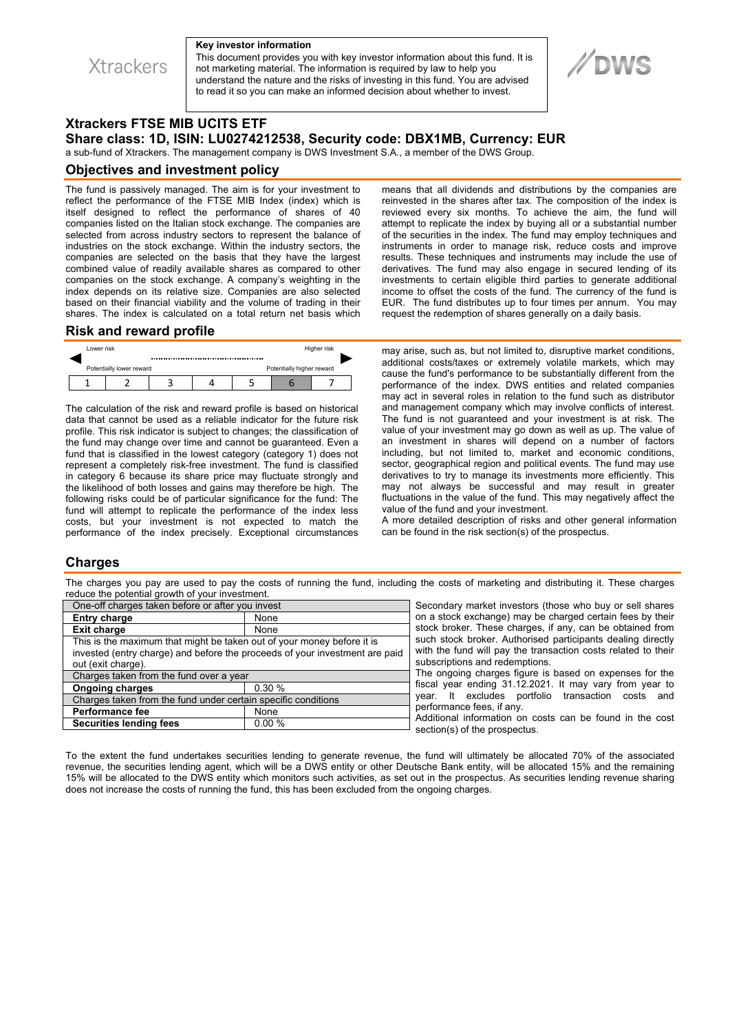**Xtrackers** 

#### **Key investor information**

This document provides you with key investor information about this fund. It is not marketing material. The information is required by law to help you understand the nature and the risks of investing in this fund. You are advised to read it so you can make an informed decision about whether to invest.



# **Xtrackers FTSE MIB UCITS ETF**

**Share class: 1D, ISIN: LU0274212538, Security code: DBX1MB, Currency: EUR** 

a sub-fund of Xtrackers. The management company is DWS Investment S.A., a member of the DWS Group.

#### **Objectives and investment policy**

The fund is passively managed. The aim is for your investment to reflect the performance of the FTSE MIB Index (index) which is itself designed to reflect the performance of shares of 40 companies listed on the Italian stock exchange. The companies are selected from across industry sectors to represent the balance of industries on the stock exchange. Within the industry sectors, the companies are selected on the basis that they have the largest combined value of readily available shares as compared to other companies on the stock exchange. A company's weighting in the index depends on its relative size. Companies are also selected based on their financial viability and the volume of trading in their shares. The index is calculated on a total return net basis which means that all dividends and distributions by the companies are reinvested in the shares after tax. The composition of the index is reviewed every six months. To achieve the aim, the fund will attempt to replicate the index by buying all or a substantial number of the securities in the index. The fund may employ techniques and instruments in order to manage risk, reduce costs and improve results. These techniques and instruments may include the use of derivatives. The fund may also engage in secured lending of its investments to certain eligible third parties to generate additional income to offset the costs of the fund. The currency of the fund is EUR. The fund distributes up to four times per annum. You may request the redemption of shares generally on a daily basis.

#### **Risk and reward profile**



The calculation of the risk and reward profile is based on historical data that cannot be used as a reliable indicator for the future risk profile. This risk indicator is subject to changes; the classification of the fund may change over time and cannot be guaranteed. Even a fund that is classified in the lowest category (category 1) does not represent a completely risk-free investment. The fund is classified in category 6 because its share price may fluctuate strongly and the likelihood of both losses and gains may therefore be high. The following risks could be of particular significance for the fund: The fund will attempt to replicate the performance of the index less costs, but your investment is not expected to match the performance of the index precisely. Exceptional circumstances may arise, such as, but not limited to, disruptive market conditions, additional costs/taxes or extremely volatile markets, which may cause the fund's performance to be substantially different from the performance of the index. DWS entities and related companies may act in several roles in relation to the fund such as distributor and management company which may involve conflicts of interest. The fund is not guaranteed and your investment is at risk. The value of your investment may go down as well as up. The value of an investment in shares will depend on a number of factors including, but not limited to, market and economic conditions, sector, geographical region and political events. The fund may use derivatives to try to manage its investments more efficiently. This may not always be successful and may result in greater fluctuations in the value of the fund. This may negatively affect the value of the fund and your investment.

A more detailed description of risks and other general information can be found in the risk section(s) of the prospectus.

#### **Charges**

The charges you pay are used to pay the costs of running the fund, including the costs of marketing and distributing it. These charges reduce the potential growth of your investment.

| One-off charges taken before or after you invest                            |       |
|-----------------------------------------------------------------------------|-------|
| <b>Entry charge</b>                                                         | None  |
| <b>Exit charge</b>                                                          | None  |
| This is the maximum that might be taken out of your money before it is      |       |
| invested (entry charge) and before the proceeds of your investment are paid |       |
| out (exit charge).                                                          |       |
| Charges taken from the fund over a year                                     |       |
| <b>Ongoing charges</b>                                                      | 0.30% |
| Charges taken from the fund under certain specific conditions               |       |
| <b>Performance fee</b>                                                      | None  |
| <b>Securities lending fees</b>                                              | 0.00% |
|                                                                             |       |

Secondary market investors (those who buy or sell shares on a stock exchange) may be charged certain fees by their stock broker. These charges, if any, can be obtained from such stock broker. Authorised participants dealing directly with the fund will pay the transaction costs related to their subscriptions and redemptions.

The ongoing charges figure is based on expenses for the fiscal year ending 31.12.2021. It may vary from year to year. It excludes portfolio transaction costs and performance fees, if any.

Additional information on costs can be found in the cost section(s) of the prospectus.

To the extent the fund undertakes securities lending to generate revenue, the fund will ultimately be allocated 70% of the associated revenue, the securities lending agent, which will be a DWS entity or other Deutsche Bank entity, will be allocated 15% and the remaining 15% will be allocated to the DWS entity which monitors such activities, as set out in the prospectus. As securities lending revenue sharing does not increase the costs of running the fund, this has been excluded from the ongoing charges.